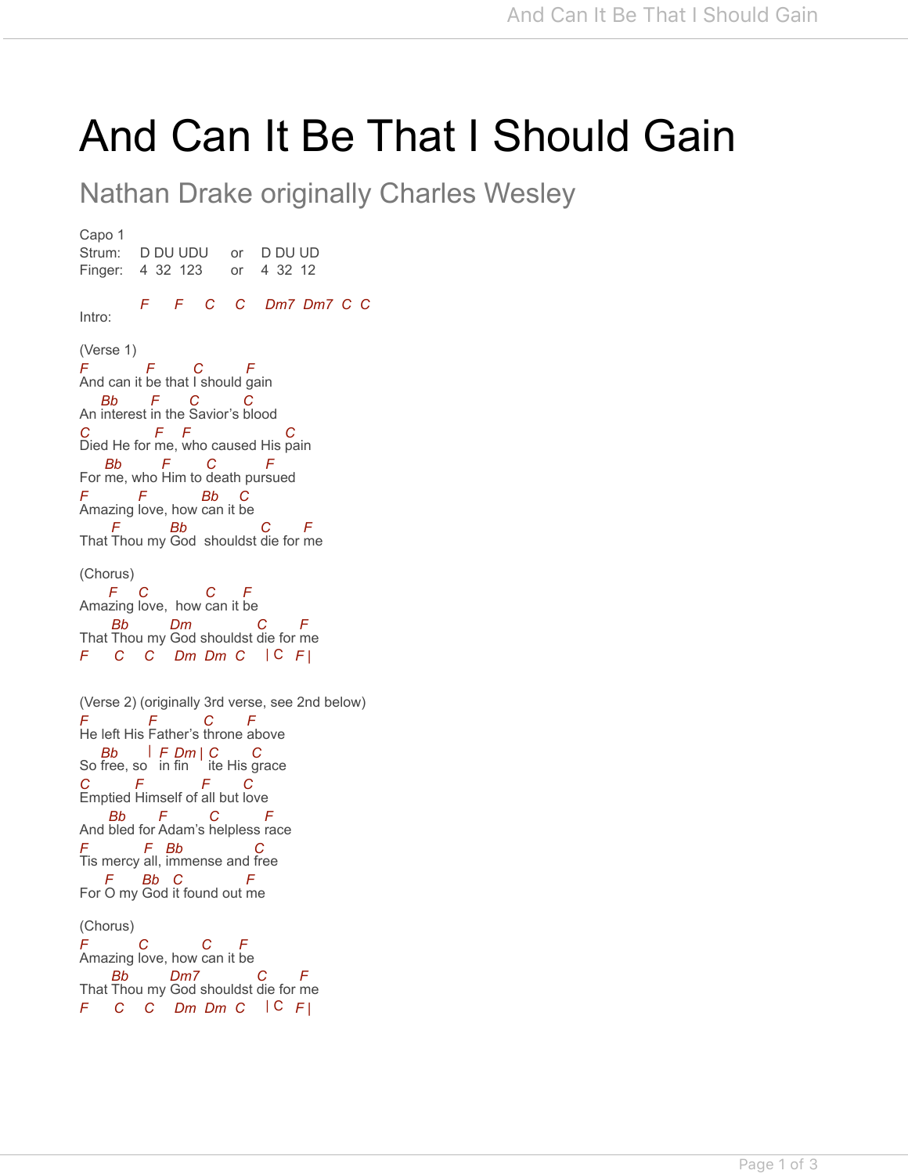## And Can It Be That I Should Gain

Nathan Drake originally Charles Wesley

Capo 1 Strum: D DU UDU or D DU UD Finger: 4 32 123 or 4 32 12 Intro: (Verse 1)<br> $F$ And can it be that I should gain An interest in the Savior's blood Died He for me, who caused His pain For me, who Him to death pursued Amazing love, how can it be That Thou my God shouldst die for me (Chorus) Amazing love, how can it be That Thou my God shouldst die for me (Verse 2) (originally 3rd verse, see 2nd below) He left His Father's throne above So free, so in fin ite His grace Emptied Himself of all but love And bled for Adam's helpless race Tis mercy all, immense and free For O my God it found out me (Chorus) Amazing love, how can it be That Thou my God shouldst die for me *F F C C Dm7 Dm7 C C F F C F Bb F C C C F F C Bb F C F F F Bb C F Bb C F F C C F Bb Dm C F C C Dm Dm C* | C *F | F F C F Bb* | *F Dm | C C C F F C Bb F C F F F Bb C F Bb C F F C C F Bb Dm7 C F C C Dm Dm C* | C *F |*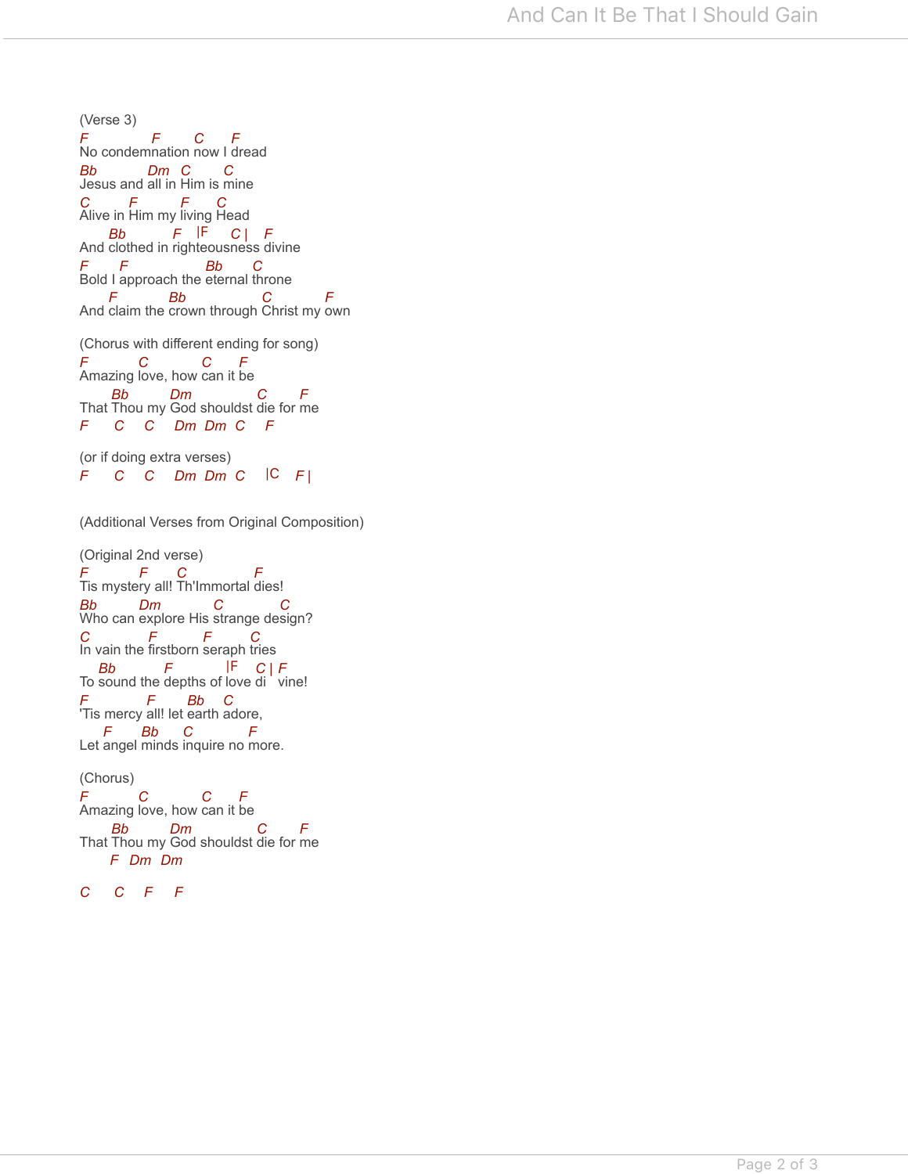(Verse 3) No condemnation now I dread Jesus and all in Him is mine Alive in Him my living Head And clothed in righteousness divine Bold I approach the eternal throne And claim the crown through Christ my own (Chorus with different ending for song) Amazing love, how can it be That Thou my God shouldst die for me (or if doing extra verses) *F F C F Bb Dm C C C F F C Bb F* |F *C | F F F Bb C F Bb C F F C C F Bb Dm C F F C C Dm Dm C F F C C Dm Dm C* |C *F |*

*F C C Dm Dm C* | C *F |*

(Additional Verses from Original Composition)

(Original 2nd verse) Tis mystery all! Th'Immortal dies! Who can explore His strange design? In vain the firstborn seraph tries To sound the depths of love di vine! 'Tis mercy all! let earth adore, Let angel minds inquire no more. *F F C F Bb Dm C C C F F C Bb F* |F *C | F F F Bb C F Bb C F*

(Chorus) Amazing love, how can it be That Thou my God shouldst die for me *F C C F Bb Dm C F Dm Dm*

*C C F F*